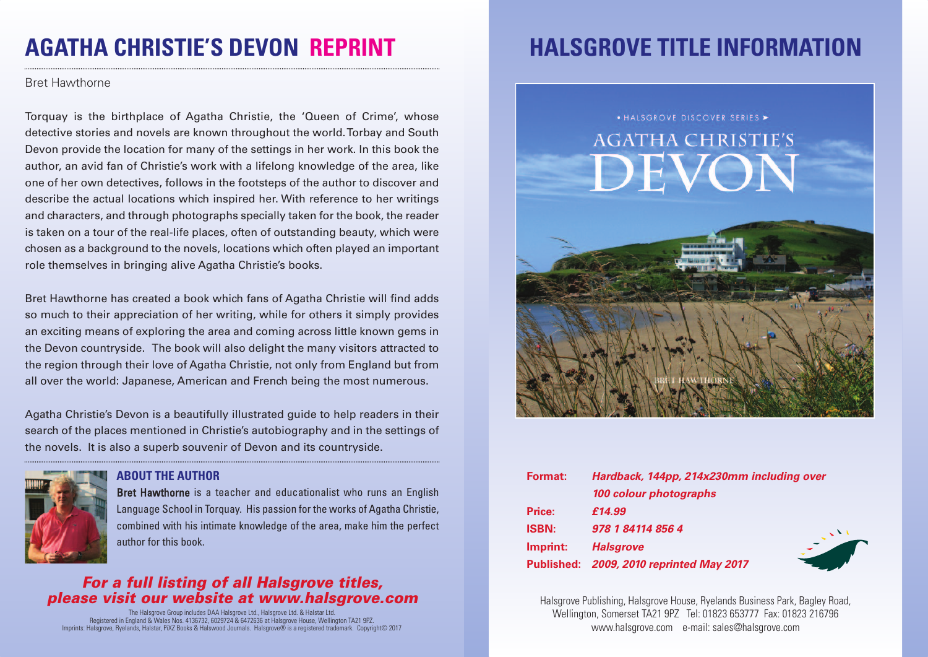# **AGATHA CHRISTIE'S DEVON REPRINT**

#### Bret Hawthorne

Torquay is the birthplace of Agatha Christie, the 'Queen of Crime', whose detective stories and novels are known throughout the world.Torbay and South Devon provide the location for many of the settings in her work. In this book the author, an avid fan of Christie's work with a lifelong knowledge of the area, like one of her own detectives, follows in the footsteps of the author to discover and describe the actual locations which inspired her. With reference to her writings and characters, and through photographs specially taken for the book, the reader is taken on a tour of the real-life places, often of outstanding beauty, which were chosen as a background to the novels, locations which often played an important role themselves in bringing alive Agatha Christie's books.

Bret Hawthorne has created a book which fans of Agatha Christie will find adds so much to their appreciation of her writing, while for others it simply provides an exciting means of exploring the area and coming across little known gems in the Devon countryside. The book will also delight the many visitors attracted to the region through their love of Agatha Christie, not only from England but from all over the world: Japanese, American and French being the most numerous.

Agatha Christie's Devon is a beautifully illustrated guide to help readers in their search of the places mentioned in Christie's autobiography and in the settings of the novels. It is also a superb souvenir of Devon and its countryside.



#### **ABOUT THE AUTHOR**

Bret Hawthorne is a teacher and educationalist who runs an English Language School in Torquay. His passion for the works of Agatha Christie, combined with his intimate knowledge of the area, make him the perfect author for this book.

### *For a full listing of all Halsgrove titles, please visit our website at www.halsgrove.com*

The Halsgrove Group includes DAA Halsgrove Ltd., Halsgrove Ltd. & Halstar Ltd.<br>Registered in England & Wales Nos. 4 136732, 6029724 & 6472636 at Halsgrove House, Wellington TA21 9PZ.<br>Imprints: Halsgrove, Ryelands, Halstar

# **HALSGROVE TITLE INFORMATION**



| Format:      | Hardback, 144pp, 214x230mm including over |
|--------------|-------------------------------------------|
|              | 100 colour photographs                    |
| Price:       | £14.99                                    |
| <b>ISBN:</b> | 978 1 84114 856 4                         |
| Imprint:     | <b>Halsgrove</b>                          |
|              | Published: 2009, 2010 reprinted May 2017  |

Halsgrove Publishing, Halsgrove House, Ryelands Business Park, Bagley Road, Wellington, Somerset TA21 9PZ Tel: 01823 653777 Fax: 01823 216796 www.halsgrove.com e-mail: sales@halsgrove.com